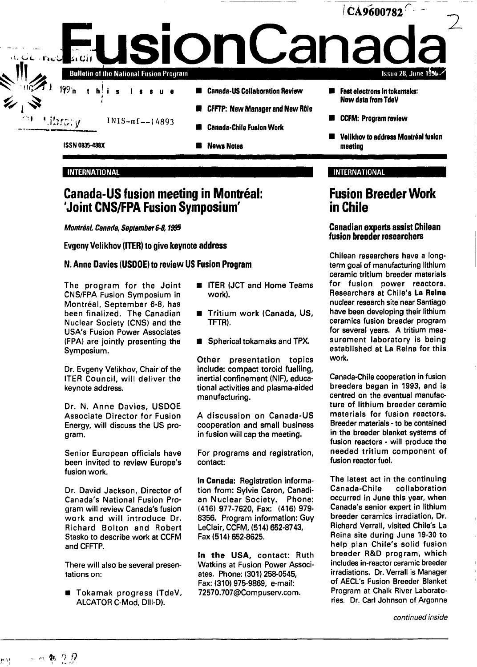

## **INTERNATIONAL**

# **Canada-US fusion meeting in Montréal: 'Joint CNS/FPA Fusion Symposium'**

**Montréal, Canada, September 6-8,1995**

**Evgeny Velikhov (ITER) to give keynote address**

## **N. Anne Davies (USDOE) to review US Fusion Program**

**The program for the Joint CNS/FPA Fusion Symposium in Montréal, September 6-8, has been finalized. The Canadian Nuclear Society (CNS) and the USA's Fusion Power Associates (FPA) are jointly presenting the Symposium.**

**Dr. Evgeny Velikhov, Chair of the ITER Council, will deliver the keynote address.**

**Dr. N. Anne Davies, USDOE Associate Director for Fusion Energy, will discuss the US program.**

**Senior European officials have been invited to review Europe's fusion work.**

**Dr. David Jackson, Director of Canada's National Fusion Program will review Canada's fusion work and will introduce Dr. Richard Bolton and Robert Stasko to describe work at CCFM and CFFTP.**

**There will also be several presentations on:**

**• Tokamak progress (TdeV, ALCATOR C-Mod, Dlll-D).**

- **ITER (JCT and Home Teams work).**
- **Tritium work (Canada, US, TFTR).**
- **Spherical tokamaks and TPX.**

**Other presentation topics include: compact toroid fuelling, inertia) confinement (NIF), educational activities and plasma-aided manufacturing.**

**A discussion on Canada-US cooperation and small business in fusion will cap the meeting.**

**For programs and registration, contact:**

**In Canada: Registration information from: Sylvie Caron, Canadian Nuclear Society. Phone: (416) 977-7620, Fax: (416) 979- 8356. Program information: Guy LeClair, CCFM, (514) 652-8743, Fax (514) 652-8625.**

**In the USA, contact: Ruth Watkins at Fusion Power Associates. Phone: (301) 258-0545, Fax: (310) 975-9869, e-mail: 72570.707@Compuserv.com.**

## **INTERNATIONAL**

# **Fusion Breeder Work in Chile**

### **Canadian experts assist Chilean fusion breeder researchers**

**Chilean researchers have a longterm goal of manufacturing lithium ceramic tritium breeder materials for fusion power reactors. Researchers at Chile's La Reina nuclear research site near Santiago have been developing their lithium ceramics fusion breeder program for several years. A tritium measurement laboratory is being established at La Reina for this work.**

**Canada-Chile cooperation in fusion breeders began in 1993, and is centred on the eventual manufacture of lithium breeder ceramic materials for fusion reactors. Breeder materials - to be contained in the breeder blanket systems of fusion reactors - will produce the needed tritium component of fusion reactor fuel.**

**The latest act in the continuing Canada-Chile collaboration occurred in June this year, when Canada's senior expert in lithium breeder ceramics irradiation, Dr. Richard Verrall, visited Chile's La Reina site during June 19-30 to help plan Chile's solid fusion breeder R&D program, which includes in-reactor ceramic breeder irradiations. Dr. Verrall is Manager of AECL's Fusion Breeder Blanket Program at Chalk River Laboratories. Dr. Carl Johnson of Argonne**

**continued inside**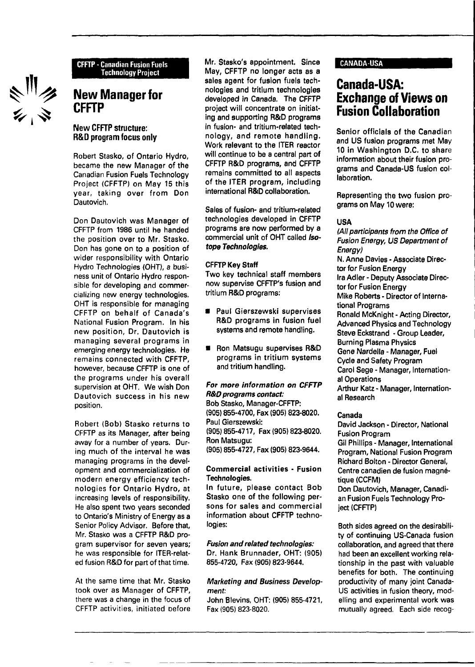ミッシュ

### CFFTP - Canadian Fusion Fuels Technology Project

# **New Manager for CFFTP**

## **New CFFTP structure: R&D program focus only**

Robert Stasko, of Ontario Hydro, became the new Manager of the Canadian Fusion Fuels Technology Project (CFFTP) on May 15 this year, taking over from Don Dautovich.

Don Dautovich was Manager of CFFTP from 1986 until he handed the position over to Mr. Stasko. Don has gone on to a position of wider responsibility with Ontario Hydro Technologies (OHT), a business unit of Ontario Hydro responsible for developing and commercializing new energy technologies. OHT is responsible for managing CFFTP on behalf of Canada's National Fusion Program. In his new position, Dr. Dautovich is managing several programs in emerging energy technologies. He remains connected with CFFTP, however, because CFFTP is one of the programs under his overall supervision at OHT. We wish Don Dautovich success in his new position.

Robert (Bob) Stasko returns to CFFTP as its Manager, after being away for a number of years. During much of the interval he was managing programs in the development and commercialization of modern energy efficiency technologies for Ontario Hydro, at increasing levels of responsibility. He also spent two years seconded to Ontario's Ministry of Energy as a Senior Policy Advisor. Before that, Mr. Stasko was a CFFTP R&D program supervisor for seven years; he was responsible for ITER-related fusion R&D for part of that time.

At the same time that Mr. Stasko took over as Manager of CFFTP, there was a change in the focus of CFFTP activities, initiated before Mr. Stasko's appointment. Since May, CFFTP no longer acts as a sales agent for fusion fuels technologies and tritium technologies developed in Canada. The CFFTP project will concentrate on initiating and supporting R&D programs in fusion- and tritium-related technology, and remote handling. Work relevant to the ITER reactor will continue to be a central part of CFFTP R&D programs, and CFFTP remains committed to all aspects of the ITER program, including international R&D collaboration.

Sales of fusion- and tritium-related technologies developed in CFFTP programs are now performed by a commercial unit of OHT called Isotope Technologies.

#### CFFTP Key Staff

Two key technical staff members now supervise CFFTP's fusion and tritium R&D programs:

- Paul Gierszewski supervises R&D programs in fusion fuel systems and remote handling.
- **Ron Matsugu supervises R&D** programs in tritium systems and tritium handling.

## For more information on CFFTP

R&D programs contact: Bob Stasko, Manager-CFFTP: (905) 855-4700, Fax (905) 823-8020. Paul Gierszewski: (905)855-4717, Fax (905) 823-8020. Ron Matsugu: (905) 855-4727, Fax (905) 823-9644.

### Commercial activities • Fusion Technologies.

In future, please contact Bob Stasko one of the following persons for sales and commercial information about CFFTP technologies:

Fusion and related technologies: Dr. Hank Brunnader, OHT: (905) 855-4720, Fax (905) 823-9644.

#### Marketing and Business Development:

John Blevins, OHT: (905) 855-4721, Fax (905) 823-8020.

### CANADA-USA

# **Canada-USA: Exchange of Views on Fusion Collaboration**

Senior officials of the Canadian and US fusion programs met May 10 in Washington D.C. to share information about their fusion programs and Canada-US fusion collaboration.

Representing the two fusion programs on May 10 were:

### USA

(All participants from the Office of Fusion Energy, US Department of Energy) N. Anne Davies - Associate Director for Fusion Energy Ira Adler - Deputy Associate Director for Fusion Energy Mike Roberts - Director of International Programs Ronald McKnight- Acting Director, Advanced Physics and Technology Steve Eckstrand - Group Leader, Burning Plasma Physics Gene Nardella - Manager, Fuel Cycle and Safety Program Carol Sege - Manager, International Operations Arthur Katz - Manager, International Research

### Canada

David Jackson - Director, National Fusion Program Gil Phillips - Manager, International Program, National Fusion Program Richard Bolton - Director General, Centre canadien de fusion magnétique (CCFM) Don Dautovich, Manager, Canadian Fusion Fuels Technology Project (CFFTP)

Both sides agreed on the desirability of continuing US-Canada fusion collaboration, and agreed that there had been an excellent working relationship in the past with valuable benefits for both. The continuing productivity of many joint Canada-US activities in fusion theory, modelling and experimental work was mutually agreed. Each side recog-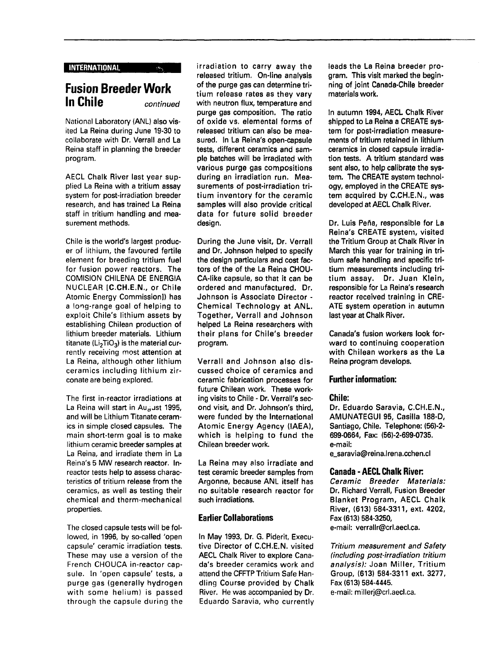#### **INTERNATIONAL**

# **Fusion Breeder Work In Chile** *continued*

National Laboratory (ANL) also visited La Reina during June 19-30 to collaborate with Dr. Verrall and La Reina staff in planning the breeder program.

AECL Chalk River last year supplied La Reina with a tritium assay system for post-irradiation breeder research, and has trained La Reina staff in tritium handling and measurement methods.

Chile is the world's largest producer of lithium, the favoured fertile element for breeding tritium fuel for fusion power reactors. The COMISION CHILENA DE ENERGIA NUCLEAR **[C.CH.E.N.,** or Chile Atomic Energy Commission]) has a long-range goal of helping to exploit Chile's lithium assets by establishing Chilean production of lithium breeder materials. Lithium titanate ( $Li<sub>2</sub>TiO<sub>3</sub>$ ) is the material currently receiving most attention at La Reina, although other lithium ceramics including lithium zirconate are being explored.

The first in-reactor irradiations at La Reina will start in Au<sub>zi</sub>ust 1995, and will be Lithium Titanate ceramics in simple closed capsules. The main short-term goal is to make lithium ceramic breeder samples at La Reina, and irradiate them in La Reina's 5 MW research reactor. Inreactor tests help to assess characteristics of tritium release from the ceramics, as well as testing their chemical and therm-mechanical properties.

The closed capsule tests will be followed, in 1996, by so-called 'open capsule' ceramic irradiation tests. These may use a version of the French CHOUCA in-reactor capsule. In 'open capsule' tests, a purge gas (generally hydrogen with some helium) is passed through the capsule during the irradiation to carry away the released tritium. On-line analysis of the purge gas can determine tritium release rates as they vary with neutron flux, temperature and purge gas composition. The ratio of oxide vs. elemental forms of released tritium can also be measured. In La Reina's open-capsule tests, different ceramics and sample batches will be irradiated with various purge gas compositions during an irradiation run. Measurements of post-irradiation tritium inventory for the ceramic samples will also provide critical data for future solid breeder design.

During the June visit, Dr. Verrall and Dr. Johnson helped to specify the design particulars and cost factors of the of the La Reina CHOU-CA-like capsule, so that it can be ordered and manufactured. Dr. Johnson is Associate Director - Chemical Technology at **ANL.** Together, Verrall and Johnson helped La Reina researchers with their plans for Chile's breeder program.

Verrall and Johnson also discussed choice of ceramics and ceramic fabrication processes for future Chilean work. These working visits to Chile - Dr. Verrall's second visit, and Dr. Johnson's third, were funded by the International Atomic Energy Agency (IAEA), which is helping to fund the Chilean breeder work.

La Reina may also irradiate and test ceramic breeder samples from Argonne, because ANL itself has no suitable research reactor for such irradiations.

#### **Earlier Collaborations**

In May 1993, Dr. G. Piderit, Executive Director of C.CH.E.N. visited AECL Chalk River to explore Canada's breeder ceramics work and attend the CFFTP Tritium Safe Handling Course provided by Chalk River. He was accompanied by Dr. Eduardo Saravia, who currently

**leads the La Reina breeder program. This visit marked the beginning of joint Canada-Chile breeder materials work.**

**In autumn 1994, AECL Chalk River shipped to La Reina a CREATE system for post-irradiation measurements of tritium retained in lithium ceramics in closed capsule irradiation tests. A tritium standard was sent also, to help calibrate the system. The CREATE system technology, employed in the CREATE system acquired by C.CH.E.N., was developed at AECL Chalk River.**

**Dr. Luis Pena, responsible for La Reina's CREATE system, visited the Tritium Group at Chalk River in March this year for training in tritium safe handling and specific tritium measurements including tritium assay. Dr. Juan Klein, responsible for La Reina's research reactor received training in CRE-ATE system operation in autumn last year at Chalk River.**

**Canada's fusion workers look forward to continuing cooperation with Chilean workers as the La Reina program develops.**

### **Further information:**

#### **Chile:**

**Dr. Eduardo Saravia, C.CH.E.N., AMUNATEGUI 95, Casilla 188-D, Santiago, Chile. Telephone: (56)-2- 699-0664, Fax: (56)-2-699-0735. e-mail:**

**e\_saravia@reina.lrena.cchen.cl**

### **Canada - AECL Chalk River**

Ceramic Breeder Materials: Dr. Richard Verrall, Fusion Breeder Blanket Program, AECL Chalk River, (613) 584-3311, ext. 4202, Fax (613) 584-3250, e-mail: verrallr@crl.aecl.ca.

Tritium measurement and Safety (including post-irradiation tritium analysis): Joan Miller, Tritium Group, (613) 584-3311 ext. 3277, Fax (613) 584-4445. e-mail: millerj@crl.aecl.ca.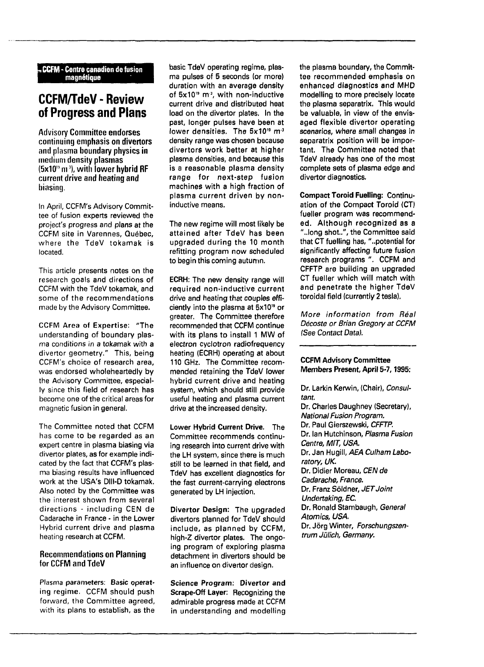# **CCFM/TdeV - Review of Progress and Plans**

**Advisory Committee endorses continuing emphasis on tlivertors and plasma boundary physics in medium density plasmas (5x101J m<sup>3</sup> ), with lower hybrid RF current drive and heating and biasing.**

In April, CCFM's Advisory Committee of fusion experts reviewed the project's progress and plans at the CCFM site in Varennes, Québec, where the TdeV tokamak is located.

This article presents notes on the research goals and directions of CCFM with the TdeV tokamak, and some of the recommendations made by the Advisory Committee.

CCFM Area of Expertise: "The understanding of boundary plasma conditions in a tokamak with a divertor geometry." This, being CCFM's choice of research area, was endorsed wholeheartedly by the Advisory Committee, especially since this field of research has become one of the critical areas for magnetic fusion in general.

The Committee noted that CCFM has come to be regarded as an expert centre in plasma biasing via divertor plates, as for example indicated by the fact that CCFM's plasma biasing results have influenced work at the USA's Dlll-D tokamak. Also noted by the Committee was the interest shown from several directions - including CËN de Cadarache in France - in the Lower Hybrid current drive and plasma heating research at CCFM.

### **Recommendations on Planning for CCFM and TdeV**

Plasma parameters: Basic operating regime. CCFM should push forward, the Committee agreed, with its plans to establish, as the basic TdeV operating regime, plasma pulses of 5 seconds (or more) duration with an average density of 5x10" m<sup>.,</sup> with non-inductive current drive and distributed heat load on the divertor plates. In the past, longer pulses have been at lower densities. The  $5x10^{19}$  m<sup>3</sup> density range was chosen because divertors work better at higher plasma densities, and because this is a reasonable plasma density range for next-step fusion machines with a high fraction of plasma current driven by noninductive means.

The new regime will most likely be attained after TdeV has been upgraded during the 10 month refitting program now scheduled to begin this coming autumn.

ECRH: The new density range will required non-inductive current drive and heating that couples efficiently into the plasma at 5x10" or greater. The Committee therefore recommended that CCFM continue with its plans to install 1 MW of electron cyclotron radiofrequency heating (ECRH) operating at about 110 GHz. The Committee recommended retaining the TdeV lower hybrid current drive and heating system, which should still provide useful heating and plasma current drive at the increased density.

Lower Hybrid Current Drive. The Committee recommends continuing research into current drive with the LH system, since there is much still to be learned in that field, and TdeV has excellent diagnostics for the fast current-carrying electrons generated by LH injection.

Divertor Design: The upgraded divertors planned for TdeV should include, as planned by CCFM, high-Z divertor plates. The ongoing program of exploring plasma detachment in divertors should be an influence on divertor design.

Science Program: Divertor and Scrape-Off Layer: Recognizing the admirable progress made at CCFM in understanding and modelling

the plasma boundary, the Committee recommended emphasis on enhanced diagnostics and MHD modelling to more precisely locate the plasma separatrix. This would be valuable, in view of the envisaged flexible divertor operating scenarios, where small changes in separatrix position will be important. The Committee noted that TdeV already has one of the most complete sets of plasma edge and divertor diagnostics.

Compact Toroid Fuelling: Continuation of the Compact Toroid (CT) fueller program was recommended. Although recognized as a "..long shot..", the Committee said that CT fuelling has, "..potential for significantly affecting future fusion research programs ". CCFM and CFFTP are building an upgraded CT fueller which will match with and penetrate the higher TdeV toroidal field (currently 2 tesla).

More information from Réal Décoste or Brian Gregory at CCFM (See Contact Data).

#### CCFM Advisory Committee Members Present, April 5-7,1995:

Dr. Larkin Kerwin, (Chair), Consultant. Dr. Charles Daughney (Secretary), National Fusion Program. Dr. Paul Gierszewski, CFFTP. Dr. Ian Hutchinson, Plasma Fusion Centre, MIT, USA. Dr. Jan Hugill, AEA Culham Laboratory, UK. Dr. Didier Moreau, CEN de Cadarache, France. Dr. Franz Sôldner, JET Joint Undertaking, EC. Dr. Ronald Stambaugh, General Atomics, USA. Dr. Jôrg Winter, Forschungszentrum Jülich, Germany.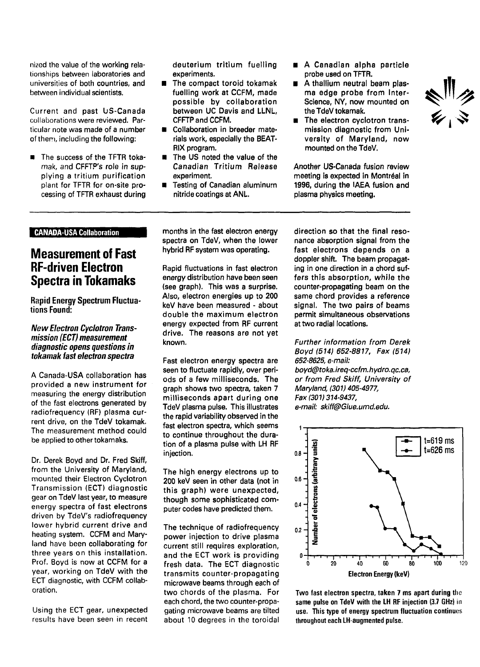nized the value of the working relationships between laboratories and universities of both countries, and between individual scientists.

Current and past US-Canada collaborations were reviewed. Particular note was made of a number of them, including the following:

**• The success of the TFTR toka**mak, and CFFTP's role in supplying a tritium purification plant for TFTR for on-site processing of TFTR exhaust during **deuterium tritium fuelling experiments.**

- **The compact toroid tokamak**  $\blacksquare$ **fuelling work at CCFM, made possible by collaboration between UC Davis and LLNL, CFFTP and CCFM.**
- **Collaboration in breeder materials work, especially the BEAT-RIX program.**
- **The US noted the value of the Canadian Tritium Release experiment.**
- **Testing of Canadian aluminum nitride coatings at ANL**
- **A Canadian alpha particle probe used on TFTR.**
- **A thallium neutral beam plasma edge probe from Inter-Science, NY, now mounted on the TdeV tokamak.**
- **The electron cyclotron transmission diagnostic from University of Maryland, now mounted on the TdeV.**

**Another US-Canada fusion review meeting is expected in Montréal in 1996, during the IAEA fusion and plasma physics meeting.**

## **CANADA-USA Collaboration**

# **Measurement of Fast RF-driven Electron Spectra in Tokamaks**

**Rapid Energy Spectrum Fluctuations Found:**

**New Electron Cyclotron Transmission (ECT) measurement diagnostic opens questions in tokamak fast electron spectra**

**A Canada-USA collaboration has** provided a new instrument for measuring the energy distribution of the fast electrons generated by radiofrequency (RF) plasma current drive, on the TdeV tokamak. The measurement method could be applied to other tokamaks.

Dr. Derek Boyd and Dr. Fred Skiff, from the University of Maryland, mounted their Electron Cyclotron Transmission (ECT) diagnostic gear on TdeV last year, to measure energy spectra of fast electrons driven by TdeV's radiofrequency lower hybrid current drive and heating system. CCFM and Maryland have been collaborating for three years on this installation. Prof. Boyd is now at CCFM for a year, working on TdeV with the ECT diagnostic, with CCFM collaboration.

Using the ECT gear, unexpected results have been seen in recent months in the fast electron energy spectra on TdeV, when the lower hybrid RF system was operating.

Rapid fluctuations in fast electron energy distribution have been seen (see graph). This was a surprise. Also, electron energies up to 200 keV have been measured - about double the maximum electron energy expected from RF current drive. The reasons are not yet known.

Fast electron energy spectra are seen to fluctuate rapidly, over periods of a few milliseconds. The graph shows two spectra, taken 7 milliseconds apart during one TdeV plasma pulse. This illustrates the rapid variability observed in the fast electron spectra, which seems to continue throughout the duration of a plasma pulse with LH RF injection.

The high energy electrons up to 200 keV seen in other data (not in this graph) were unexpected, though some sophisticated computer codes have predicted them.

The technique of radiofrequency power injection to drive plasma current still requires exploration, and the ECT work is providing fresh data. The ECT diagnostic transmits counter-propagating microwave beams through each of two chords of the plasma. For each chord, the two counter-propagating microwave beams are tilted about 10 degrees in the toroidal

direction so that the final resonance absorption signal from the fast electrons depends on a doppler shift. The beam propagating in one direction in a chord suffers this absorption, while the counter-propagating beam on the same chord provides a reference signal. The two pairs of beams permit simultaneous observations at two radial locations.

Further information from Derek Boyd (514) 652-8817, Fax (514) 652-8625, e-mail: boyd@toka.ireq-ccfm.hydro.qc.ca, or from Fred Skiff, University of Maryland, (301) 405-4977, Fax (301) 314-9437, e-mail: skiff@Glue.umd.edu.



Two fast electron spectra, taken 7 ms apart during the same pulse on TdeV with the LH RF injection (3.7 GHz) in use. This type of energy spectrum fluctuation continues throughout each LH-augmented pulse.